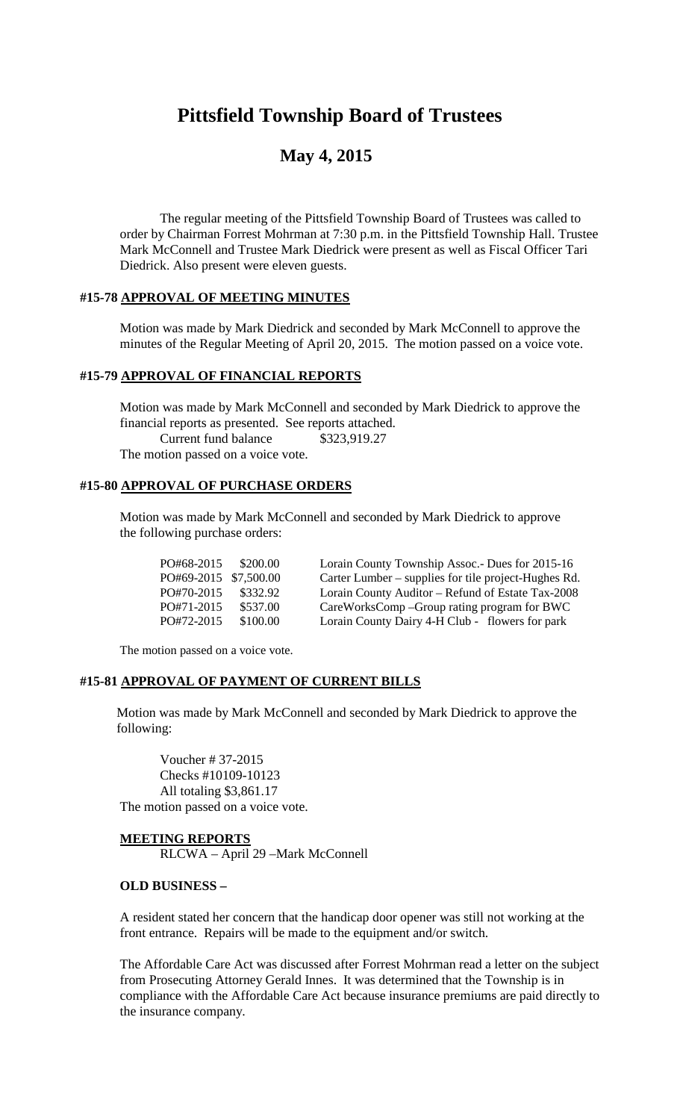# **Pittsfield Township Board of Trustees**

# **May 4, 2015**

The regular meeting of the Pittsfield Township Board of Trustees was called to order by Chairman Forrest Mohrman at 7:30 p.m. in the Pittsfield Township Hall. Trustee Mark McConnell and Trustee Mark Diedrick were present as well as Fiscal Officer Tari Diedrick. Also present were eleven guests.

#### **#15-78 APPROVAL OF MEETING MINUTES**

Motion was made by Mark Diedrick and seconded by Mark McConnell to approve the minutes of the Regular Meeting of April 20, 2015. The motion passed on a voice vote.

# **#15-79 APPROVAL OF FINANCIAL REPORTS**

Motion was made by Mark McConnell and seconded by Mark Diedrick to approve the financial reports as presented. See reports attached. Current fund balance \$323,919.27 The motion passed on a voice vote.

#### **#15-80 APPROVAL OF PURCHASE ORDERS**

Motion was made by Mark McConnell and seconded by Mark Diedrick to approve the following purchase orders:

| PO#68-2015     | \$200.00   |
|----------------|------------|
| $P($ )#69-2015 | \$7.500.00 |
| $PQ#70-2015$   | \$332.92   |
| PO#71-2015     | \$537.00   |
| PO#72-2015     | \$100.00   |

Lorain County Township Assoc.- Dues for 2015-16 Carter Lumber – supplies for tile project-Hughes Rd. Lorain County Auditor – Refund of Estate Tax-2008 CareWorksComp –Group rating program for BWC Lorain County Dairy 4-H Club - flowers for park

The motion passed on a voice vote.

# **#15-81 APPROVAL OF PAYMENT OF CURRENT BILLS**

Motion was made by Mark McConnell and seconded by Mark Diedrick to approve the following:

Voucher # 37-2015 Checks #10109-10123 All totaling \$3,861.17 The motion passed on a voice vote.

**MEETING REPORTS** RLCWA – April 29 –Mark McConnell

#### **OLD BUSINESS –**

A resident stated her concern that the handicap door opener was still not working at the front entrance. Repairs will be made to the equipment and/or switch.

The Affordable Care Act was discussed after Forrest Mohrman read a letter on the subject from Prosecuting Attorney Gerald Innes. It was determined that the Township is in compliance with the Affordable Care Act because insurance premiums are paid directly to the insurance company.